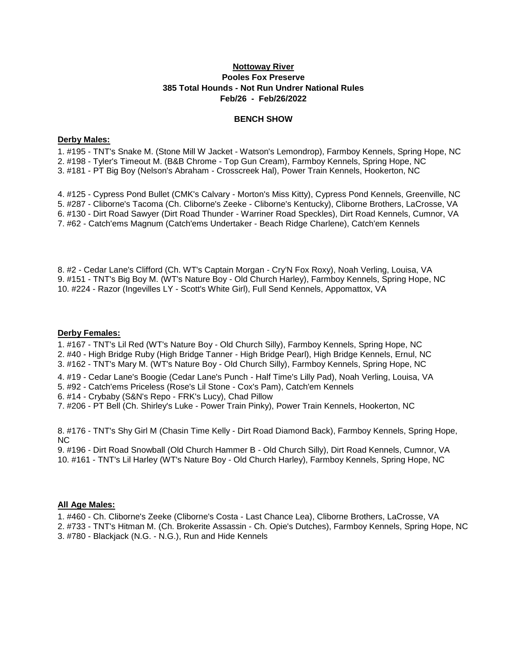## **Nottoway River Pooles Fox Preserve 385 Total Hounds - Not Run Undrer National Rules Feb/26 - Feb/26/2022**

### **BENCH SHOW**

#### **Derby Males:**

1. #195 - TNT's Snake M. (Stone Mill W Jacket - Watson's Lemondrop), Farmboy Kennels, Spring Hope, NC 2. #198 - Tyler's Timeout M. (B&B Chrome - Top Gun Cream), Farmboy Kennels, Spring Hope, NC 3. #181 - PT Big Boy (Nelson's Abraham - Crosscreek Hal), Power Train Kennels, Hookerton, NC

4. #125 - Cypress Pond Bullet (CMK's Calvary - Morton's Miss Kitty), Cypress Pond Kennels, Greenville, NC 5. #287 - Cliborne's Tacoma (Ch. Cliborne's Zeeke - Cliborne's Kentucky), Cliborne Brothers, LaCrosse, VA 6. #130 - Dirt Road Sawyer (Dirt Road Thunder - Warriner Road Speckles), Dirt Road Kennels, Cumnor, VA 7. #62 - Catch'ems Magnum (Catch'ems Undertaker - Beach Ridge Charlene), Catch'em Kennels

8. #2 - Cedar Lane's Clifford (Ch. WT's Captain Morgan - Cry'N Fox Roxy), Noah Verling, Louisa, VA 9. #151 - TNT's Big Boy M. (WT's Nature Boy - Old Church Harley), Farmboy Kennels, Spring Hope, NC 10. #224 - Razor (Ingevilles LY - Scott's White Girl), Full Send Kennels, Appomattox, VA

### **Derby Females:**

1. #167 - TNT's Lil Red (WT's Nature Boy - Old Church Silly), Farmboy Kennels, Spring Hope, NC

2. #40 - High Bridge Ruby (High Bridge Tanner - High Bridge Pearl), High Bridge Kennels, Ernul, NC 3. #162 - TNT's Mary M. (WT's Nature Boy - Old Church Silly), Farmboy Kennels, Spring Hope, NC

4. #19 - Cedar Lane's Boogie (Cedar Lane's Punch - Half Time's Lilly Pad), Noah Verling, Louisa, VA

5. #92 - Catch'ems Priceless (Rose's Lil Stone - Cox's Pam), Catch'em Kennels

6. #14 - Crybaby (S&N's Repo - FRK's Lucy), Chad Pillow

7. #206 - PT Bell (Ch. Shirley's Luke - Power Train Pinky), Power Train Kennels, Hookerton, NC

8. #176 - TNT's Shy Girl M (Chasin Time Kelly - Dirt Road Diamond Back), Farmboy Kennels, Spring Hope, NC

9. #196 - Dirt Road Snowball (Old Church Hammer B - Old Church Silly), Dirt Road Kennels, Cumnor, VA 10. #161 - TNT's Lil Harley (WT's Nature Boy - Old Church Harley), Farmboy Kennels, Spring Hope, NC

# **All Age Males:**

1. #460 - Ch. Cliborne's Zeeke (Cliborne's Costa - Last Chance Lea), Cliborne Brothers, LaCrosse, VA

2. #733 - TNT's Hitman M. (Ch. Brokerite Assassin - Ch. Opie's Dutches), Farmboy Kennels, Spring Hope, NC 3. #780 - Blackjack (N.G. - N.G.), Run and Hide Kennels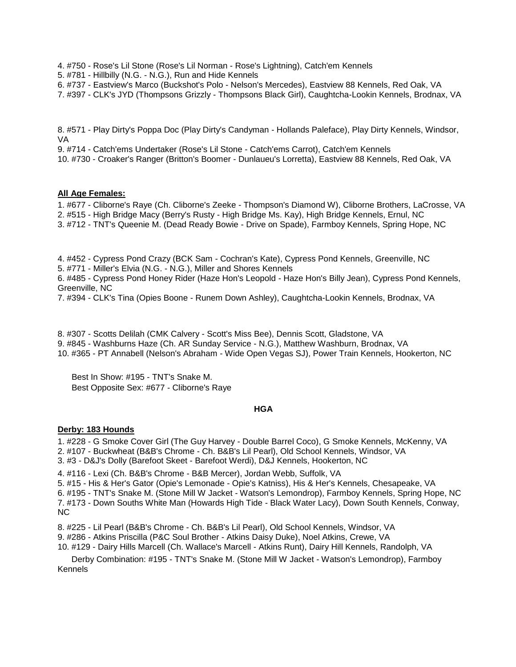4. #750 - Rose's Lil Stone (Rose's Lil Norman - Rose's Lightning), Catch'em Kennels

5. #781 - Hillbilly (N.G. - N.G.), Run and Hide Kennels

6. #737 - Eastview's Marco (Buckshot's Polo - Nelson's Mercedes), Eastview 88 Kennels, Red Oak, VA

7. #397 - CLK's JYD (Thompsons Grizzly - Thompsons Black Girl), Caughtcha-Lookin Kennels, Brodnax, VA

8. #571 - Play Dirty's Poppa Doc (Play Dirty's Candyman - Hollands Paleface), Play Dirty Kennels, Windsor, VA

9. #714 - Catch'ems Undertaker (Rose's Lil Stone - Catch'ems Carrot), Catch'em Kennels

10. #730 - Croaker's Ranger (Britton's Boomer - Dunlaueu's Lorretta), Eastview 88 Kennels, Red Oak, VA

### **All Age Females:**

1. #677 - Cliborne's Raye (Ch. Cliborne's Zeeke - Thompson's Diamond W), Cliborne Brothers, LaCrosse, VA

2. #515 - High Bridge Macy (Berry's Rusty - High Bridge Ms. Kay), High Bridge Kennels, Ernul, NC

3. #712 - TNT's Queenie M. (Dead Ready Bowie - Drive on Spade), Farmboy Kennels, Spring Hope, NC

4. #452 - Cypress Pond Crazy (BCK Sam - Cochran's Kate), Cypress Pond Kennels, Greenville, NC

5. #771 - Miller's Elvia (N.G. - N.G.), Miller and Shores Kennels

6. #485 - Cypress Pond Honey Rider (Haze Hon's Leopold - Haze Hon's Billy Jean), Cypress Pond Kennels, Greenville, NC

7. #394 - CLK's Tina (Opies Boone - Runem Down Ashley), Caughtcha-Lookin Kennels, Brodnax, VA

8. #307 - Scotts Delilah (CMK Calvery - Scott's Miss Bee), Dennis Scott, Gladstone, VA 9. #845 - Washburns Haze (Ch. AR Sunday Service - N.G.), Matthew Washburn, Brodnax, VA 10. #365 - PT Annabell (Nelson's Abraham - Wide Open Vegas SJ), Power Train Kennels, Hookerton, NC

 Best In Show: #195 - TNT's Snake M. Best Opposite Sex: #677 - Cliborne's Raye

### **HGA**

# **Derby: 183 Hounds**

1. #228 - G Smoke Cover Girl (The Guy Harvey - Double Barrel Coco), G Smoke Kennels, McKenny, VA 2. #107 - Buckwheat (B&B's Chrome - Ch. B&B's Lil Pearl), Old School Kennels, Windsor, VA

3. #3 - D&J's Dolly (Barefoot Skeet - Barefoot Werdi), D&J Kennels, Hookerton, NC

4. #116 - Lexi (Ch. B&B's Chrome - B&B Mercer), Jordan Webb, Suffolk, VA

5. #15 - His & Her's Gator (Opie's Lemonade - Opie's Katniss), His & Her's Kennels, Chesapeake, VA

6. #195 - TNT's Snake M. (Stone Mill W Jacket - Watson's Lemondrop), Farmboy Kennels, Spring Hope, NC 7. #173 - Down Souths White Man (Howards High Tide - Black Water Lacy), Down South Kennels, Conway, NC

8. #225 - Lil Pearl (B&B's Chrome - Ch. B&B's Lil Pearl), Old School Kennels, Windsor, VA

9. #286 - Atkins Priscilla (P&C Soul Brother - Atkins Daisy Duke), Noel Atkins, Crewe, VA

10. #129 - Dairy Hills Marcell (Ch. Wallace's Marcell - Atkins Runt), Dairy Hill Kennels, Randolph, VA

 Derby Combination: #195 - TNT's Snake M. (Stone Mill W Jacket - Watson's Lemondrop), Farmboy Kennels